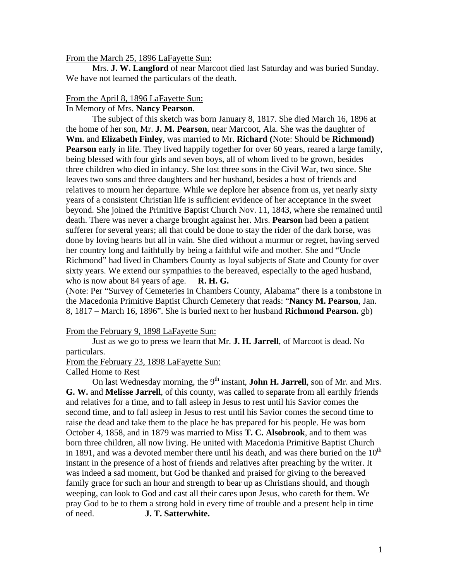### From the March 25, 1896 LaFayette Sun:

 Mrs. **J. W. Langford** of near Marcoot died last Saturday and was buried Sunday. We have not learned the particulars of the death.

# From the April 8, 1896 LaFayette Sun:

In Memory of Mrs. **Nancy Pearson**.

 The subject of this sketch was born January 8, 1817. She died March 16, 1896 at the home of her son, Mr. **J. M. Pearson**, near Marcoot, Ala. She was the daughter of **Wm.** and **Elizabeth Finley**, was married to Mr. **Richard (**Note: Should be **Richmond) Pearson** early in life. They lived happily together for over 60 years, reared a large family, being blessed with four girls and seven boys, all of whom lived to be grown, besides three children who died in infancy. She lost three sons in the Civil War, two since. She leaves two sons and three daughters and her husband, besides a host of friends and relatives to mourn her departure. While we deplore her absence from us, yet nearly sixty years of a consistent Christian life is sufficient evidence of her acceptance in the sweet beyond. She joined the Primitive Baptist Church Nov. 11, 1843, where she remained until death. There was never a charge brought against her. Mrs. **Pearson** had been a patient sufferer for several years; all that could be done to stay the rider of the dark horse, was done by loving hearts but all in vain. She died without a murmur or regret, having served her country long and faithfully by being a faithful wife and mother. She and "Uncle Richmond" had lived in Chambers County as loyal subjects of State and County for over sixty years. We extend our sympathies to the bereaved, especially to the aged husband, who is now about 84 years of age. **R. H. G.** 

(Note: Per "Survey of Cemeteries in Chambers County, Alabama" there is a tombstone in the Macedonia Primitive Baptist Church Cemetery that reads: "**Nancy M. Pearson**, Jan. 8, 1817 – March 16, 1896". She is buried next to her husband **Richmond Pearson.** gb)

## From the February 9, 1898 LaFayette Sun:

 Just as we go to press we learn that Mr. **J. H. Jarrell**, of Marcoot is dead. No particulars.

From the February 23, 1898 LaFayette Sun:

## Called Home to Rest

On last Wednesday morning, the 9<sup>th</sup> instant, **John H. Jarrell**, son of Mr. and Mrs. **G. W.** and **Melisse Jarrell**, of this county, was called to separate from all earthly friends and relatives for a time, and to fall asleep in Jesus to rest until his Savior comes the second time, and to fall asleep in Jesus to rest until his Savior comes the second time to raise the dead and take them to the place he has prepared for his people. He was born October 4, 1858, and in 1879 was married to Miss **T. C. Alsobrook**, and to them was born three children, all now living. He united with Macedonia Primitive Baptist Church in 1891, and was a devoted member there until his death, and was there buried on the  $10<sup>th</sup>$ instant in the presence of a host of friends and relatives after preaching by the writer. It was indeed a sad moment, but God be thanked and praised for giving to the bereaved family grace for such an hour and strength to bear up as Christians should, and though weeping, can look to God and cast all their cares upon Jesus, who careth for them. We pray God to be to them a strong hold in every time of trouble and a present help in time of need. **J. T. Satterwhite.**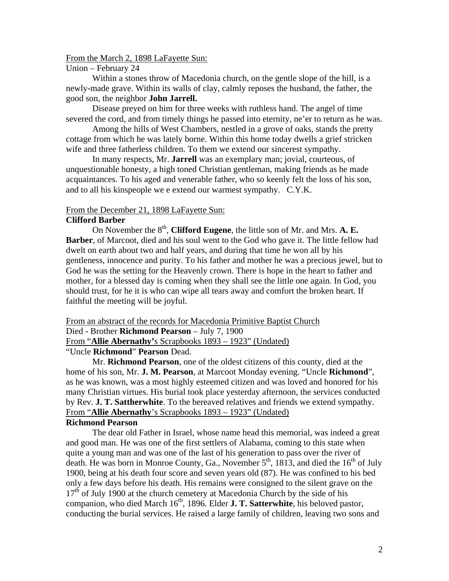#### From the March 2, 1898 LaFayette Sun:

#### Union – February 24

 Within a stones throw of Macedonia church, on the gentle slope of the hill, is a newly-made grave. Within its walls of clay, calmly reposes the husband, the father, the good son, the neighbor **John Jarrell.** 

Disease preyed on him for three weeks with ruthless hand. The angel of time severed the cord, and from timely things he passed into eternity, ne'er to return as he was.

 Among the hills of West Chambers, nestled in a grove of oaks, stands the pretty cottage from which he was lately borne. Within this home today dwells a grief stricken wife and three fatherless children. To them we extend our sincerest sympathy.

 In many respects, Mr. **Jarrell** was an exemplary man; jovial, courteous, of unquestionable honesty, a high toned Christian gentleman, making friends as he made acquaintances. To his aged and venerable father, who so keenly felt the loss of his son, and to all his kinspeople we e extend our warmest sympathy. C.Y.K.

## From the December 21, 1898 LaFayette Sun:

#### **Clifford Barber**

On November the 8<sup>th</sup>, **Clifford Eugene**, the little son of Mr. and Mrs. **A. E. Barber**, of Marcoot, died and his soul went to the God who gave it. The little fellow had dwelt on earth about two and half years, and during that time he won all by his gentleness, innocence and purity. To his father and mother he was a precious jewel, but to God he was the setting for the Heavenly crown. There is hope in the heart to father and mother, for a blessed day is coming when they shall see the little one again. In God, you should trust, for he it is who can wipe all tears away and comfort the broken heart. If faithful the meeting will be joyful.

From an abstract of the records for Macedonia Primitive Baptist Church

Died - Brother **Richmond Pearson** – July 7, 1900

From "**Allie Abernathy'**s Scrapbooks 1893 – 1923" (Undated)

"Uncle **Richmond**" **Pearson** Dead.

 Mr. **Richmond Pearson**, one of the oldest citizens of this county, died at the home of his son, Mr. **J. M. Pearson**, at Marcoot Monday evening. "Uncle **Richmond**", as he was known, was a most highly esteemed citizen and was loved and honored for his many Christian virtues. His burial took place yesterday afternoon, the services conducted by Rev. **J. T. Sattherwhite**. To the bereaved relatives and friends we extend sympathy. From "**Allie Abernathy**'s Scrapbooks 1893 – 1923" (Undated)

## **Richmond Pearson**

 The dear old Father in Israel, whose name head this memorial, was indeed a great and good man. He was one of the first settlers of Alabama, coming to this state when quite a young man and was one of the last of his generation to pass over the river of death. He was born in Monroe County, Ga., November  $5<sup>th</sup>$ , 1813, and died the  $16<sup>th</sup>$  of July 1900, being at his death four score and seven years old (87). He was confined to his bed only a few days before his death. His remains were consigned to the silent grave on the  $17<sup>th</sup>$  of July 1900 at the church cemetery at Macedonia Church by the side of his companion, who died March 16<sup>th</sup>, 1896. Elder **J. T. Satterwhite**, his beloved pastor, conducting the burial services. He raised a large family of children, leaving two sons and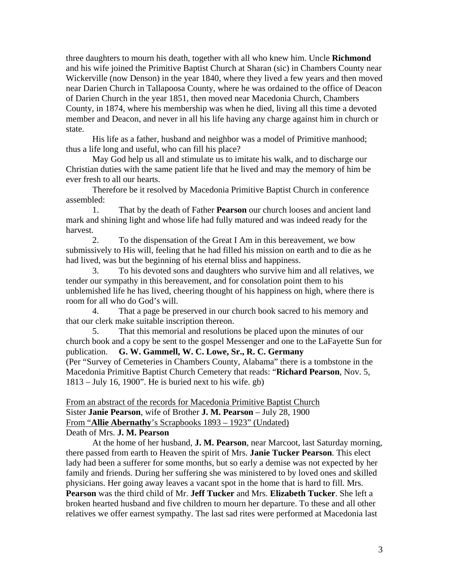three daughters to mourn his death, together with all who knew him. Uncle **Richmond** and his wife joined the Primitive Baptist Church at Sharan (sic) in Chambers County near Wickerville (now Denson) in the year 1840, where they lived a few years and then moved near Darien Church in Tallapoosa County, where he was ordained to the office of Deacon of Darien Church in the year 1851, then moved near Macedonia Church, Chambers County, in 1874, where his membership was when he died, living all this time a devoted member and Deacon, and never in all his life having any charge against him in church or state.

 His life as a father, husband and neighbor was a model of Primitive manhood; thus a life long and useful, who can fill his place?

 May God help us all and stimulate us to imitate his walk, and to discharge our Christian duties with the same patient life that he lived and may the memory of him be ever fresh to all our hearts.

 Therefore be it resolved by Macedonia Primitive Baptist Church in conference assembled:

 1. That by the death of Father **Pearson** our church looses and ancient land mark and shining light and whose life had fully matured and was indeed ready for the harvest.

 2. To the dispensation of the Great I Am in this bereavement, we bow submissively to His will, feeling that he had filled his mission on earth and to die as he had lived, was but the beginning of his eternal bliss and happiness.

 3. To his devoted sons and daughters who survive him and all relatives, we tender our sympathy in this bereavement, and for consolation point them to his unblemished life he has lived, cheering thought of his happiness on high, where there is room for all who do God's will.

 4. That a page be preserved in our church book sacred to his memory and that our clerk make suitable inscription thereon.

 5. That this memorial and resolutions be placed upon the minutes of our church book and a copy be sent to the gospel Messenger and one to the LaFayette Sun for publication. **G. W. Gammell, W. C. Lowe, Sr., R. C. Germany** (Per "Survey of Cemeteries in Chambers County, Alabama" there is a tombstone in the Macedonia Primitive Baptist Church Cemetery that reads: "**Richard Pearson**, Nov. 5, 1813 – July 16, 1900". He is buried next to his wife. gb)

From an abstract of the records for Macedonia Primitive Baptist Church Sister **Janie Pearson**, wife of Brother **J. M. Pearson** – July 28, 1900 From "**Allie Abernathy**'s Scrapbooks 1893 – 1923" (Undated) Death of Mrs. **J. M. Pearson**

 At the home of her husband, **J. M. Pearson**, near Marcoot, last Saturday morning, there passed from earth to Heaven the spirit of Mrs. **Janie Tucker Pearson**. This elect lady had been a sufferer for some months, but so early a demise was not expected by her family and friends. During her suffering she was ministered to by loved ones and skilled physicians. Her going away leaves a vacant spot in the home that is hard to fill. Mrs. **Pearson** was the third child of Mr. **Jeff Tucker** and Mrs. **Elizabeth Tucker**. She left a broken hearted husband and five children to mourn her departure. To these and all other relatives we offer earnest sympathy. The last sad rites were performed at Macedonia last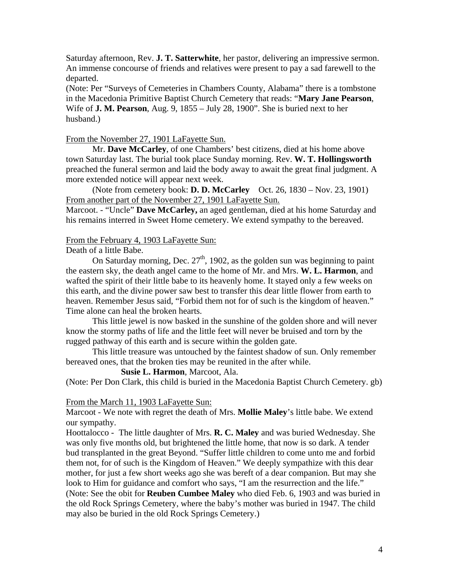Saturday afternoon, Rev. **J. T. Satterwhite**, her pastor, delivering an impressive sermon. An immense concourse of friends and relatives were present to pay a sad farewell to the departed.

(Note: Per "Surveys of Cemeteries in Chambers County, Alabama" there is a tombstone in the Macedonia Primitive Baptist Church Cemetery that reads: "**Mary Jane Pearson**, Wife of **J. M. Pearson**, Aug. 9, 1855 – July 28, 1900". She is buried next to her husband.)

# From the November 27, 1901 LaFayette Sun.

 Mr. **Dave McCarley**, of one Chambers' best citizens, died at his home above town Saturday last. The burial took place Sunday morning. Rev. **W. T. Hollingsworth** preached the funeral sermon and laid the body away to await the great final judgment. A more extended notice will appear next week.

 (Note from cemetery book: **D. D. McCarley** Oct. 26, 1830 – Nov. 23, 1901) From another part of the November 27, 1901 LaFayette Sun.

Marcoot. - "Uncle" **Dave McCarley,** an aged gentleman, died at his home Saturday and his remains interred in Sweet Home cemetery. We extend sympathy to the bereaved.

# From the February 4, 1903 LaFayette Sun:

Death of a little Babe.

On Saturday morning, Dec.  $27<sup>th</sup>$ , 1902, as the golden sun was beginning to paint the eastern sky, the death angel came to the home of Mr. and Mrs. **W. L. Harmon**, and wafted the spirit of their little babe to its heavenly home. It stayed only a few weeks on this earth, and the divine power saw best to transfer this dear little flower from earth to heaven. Remember Jesus said, "Forbid them not for of such is the kingdom of heaven." Time alone can heal the broken hearts.

 This little jewel is now basked in the sunshine of the golden shore and will never know the stormy paths of life and the little feet will never be bruised and torn by the rugged pathway of this earth and is secure within the golden gate.

 This little treasure was untouched by the faintest shadow of sun. Only remember bereaved ones, that the broken ties may be reunited in the after while.

**Susie L. Harmon**, Marcoot, Ala.

(Note: Per Don Clark, this child is buried in the Macedonia Baptist Church Cemetery. gb)

## From the March 11, 1903 LaFayette Sun:

Marcoot - We note with regret the death of Mrs. **Mollie Maley**'s little babe. We extend our sympathy.

Hoottalocco - The little daughter of Mrs. **R. C. Maley** and was buried Wednesday. She was only five months old, but brightened the little home, that now is so dark. A tender bud transplanted in the great Beyond. "Suffer little children to come unto me and forbid them not, for of such is the Kingdom of Heaven." We deeply sympathize with this dear mother, for just a few short weeks ago she was bereft of a dear companion. But may she look to Him for guidance and comfort who says, "I am the resurrection and the life." (Note: See the obit for **Reuben Cumbee Maley** who died Feb. 6, 1903 and was buried in the old Rock Springs Cemetery, where the baby's mother was buried in 1947. The child may also be buried in the old Rock Springs Cemetery.)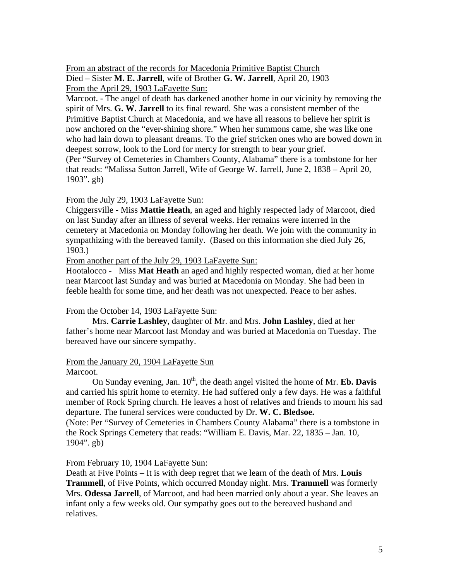From an abstract of the records for Macedonia Primitive Baptist Church Died – Sister **M. E. Jarrell**, wife of Brother **G. W. Jarrell**, April 20, 1903 From the April 29, 1903 LaFayette Sun:

Marcoot. - The angel of death has darkened another home in our vicinity by removing the spirit of Mrs. **G. W. Jarrell** to its final reward. She was a consistent member of the Primitive Baptist Church at Macedonia, and we have all reasons to believe her spirit is now anchored on the "ever-shining shore." When her summons came, she was like one who had lain down to pleasant dreams. To the grief stricken ones who are bowed down in deepest sorrow, look to the Lord for mercy for strength to bear your grief. (Per "Survey of Cemeteries in Chambers County, Alabama" there is a tombstone for her that reads: "Malissa Sutton Jarrell, Wife of George W. Jarrell, June 2, 1838 – April 20, 1903". gb)

# From the July 29, 1903 LaFayette Sun:

Chiggersville - Miss **Mattie Heath**, an aged and highly respected lady of Marcoot, died on last Sunday after an illness of several weeks. Her remains were interred in the cemetery at Macedonia on Monday following her death. We join with the community in sympathizing with the bereaved family. (Based on this information she died July 26, 1903.)

From another part of the July 29, 1903 LaFayette Sun:

Hootalocco - Miss **Mat Heath** an aged and highly respected woman, died at her home near Marcoot last Sunday and was buried at Macedonia on Monday. She had been in feeble health for some time, and her death was not unexpected. Peace to her ashes.

## From the October 14, 1903 LaFayette Sun:

 Mrs. **Carrie Lashley**, daughter of Mr. and Mrs. **John Lashley**, died at her father's home near Marcoot last Monday and was buried at Macedonia on Tuesday. The bereaved have our sincere sympathy.

#### From the January 20, 1904 LaFayette Sun Marcoot.

On Sunday evening, Jan.  $10<sup>th</sup>$ , the death angel visited the home of Mr. **Eb. Davis** and carried his spirit home to eternity. He had suffered only a few days. He was a faithful member of Rock Spring church. He leaves a host of relatives and friends to mourn his sad departure. The funeral services were conducted by Dr. **W. C. Bledsoe.** 

(Note: Per "Survey of Cemeteries in Chambers County Alabama" there is a tombstone in the Rock Springs Cemetery that reads: "William E. Davis, Mar. 22, 1835 – Jan. 10, 1904". gb)

## From February 10, 1904 LaFayette Sun:

Death at Five Points – It is with deep regret that we learn of the death of Mrs. **Louis Trammell**, of Five Points, which occurred Monday night. Mrs. **Trammell** was formerly Mrs. **Odessa Jarrell**, of Marcoot, and had been married only about a year. She leaves an infant only a few weeks old. Our sympathy goes out to the bereaved husband and relatives.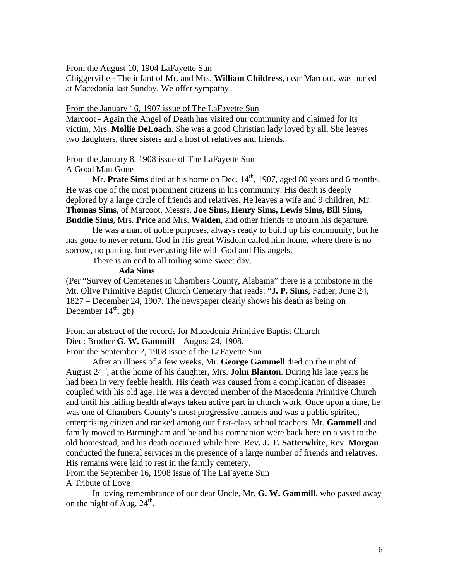From the August 10, 1904 LaFayette Sun

Chiggerville **-** The infant of Mr. and Mrs. **William Childress**, near Marcoot, was buried at Macedonia last Sunday. We offer sympathy.

#### From the January 16, 1907 issue of The LaFayette Sun

Marcoot - Again the Angel of Death has visited our community and claimed for its victim, Mrs. **Mollie DeLoach**. She was a good Christian lady loved by all. She leaves two daughters, three sisters and a host of relatives and friends.

#### From the January 8, 1908 issue of The LaFayette Sun

#### A Good Man Gone

Mr. **Prate Sims** died at his home on Dec. 14<sup>th</sup>, 1907, aged 80 years and 6 months. He was one of the most prominent citizens in his community. His death is deeply deplored by a large circle of friends and relatives. He leaves a wife and 9 children, Mr. **Thomas Sims**, of Marcoot, Messrs. **Joe Sims, Henry Sims, Lewis Sims, Bill Sims, Buddie Sims,** Mrs. **Price** and Mrs. **Walden**, and other friends to mourn his departure.

 He was a man of noble purposes, always ready to build up his community, but he has gone to never return. God in His great Wisdom called him home, where there is no sorrow, no parting, but everlasting life with God and His angels.

There is an end to all toiling some sweet day.

# **Ada Sims**

(Per "Survey of Cemeteries in Chambers County, Alabama" there is a tombstone in the Mt. Olive Primitive Baptist Church Cemetery that reads: "**J. P. Sims**, Father, June 24, 1827 – December 24, 1907. The newspaper clearly shows his death as being on December  $14<sup>th</sup>$ . gb)

# From an abstract of the records for Macedonia Primitive Baptist Church

Died: Brother **G. W. Gammill** – August 24, 1908.

From the September 2, 1908 issue of the LaFayette Sun

 After an illness of a few weeks, Mr. **George Gammell** died on the night of August  $24<sup>th</sup>$ , at the home of his daughter, Mrs. **John Blanton**. During his late years he had been in very feeble health. His death was caused from a complication of diseases coupled with his old age. He was a devoted member of the Macedonia Primitive Church and until his failing health always taken active part in church work. Once upon a time, he was one of Chambers County's most progressive farmers and was a public spirited, enterprising citizen and ranked among our first-class school teachers. Mr. **Gammell** and family moved to Birmingham and he and his companion were back here on a visit to the old homestead, and his death occurred while here. Rev**. J. T. Satterwhite**, Rev. **Morgan** conducted the funeral services in the presence of a large number of friends and relatives. His remains were laid to rest in the family cemetery.

From the September 16, 1908 issue of The LaFayette Sun

A Tribute of Love

 In loving remembrance of our dear Uncle, Mr. **G. W. Gammill**, who passed away on the night of Aug.  $24^{\text{th}}$ .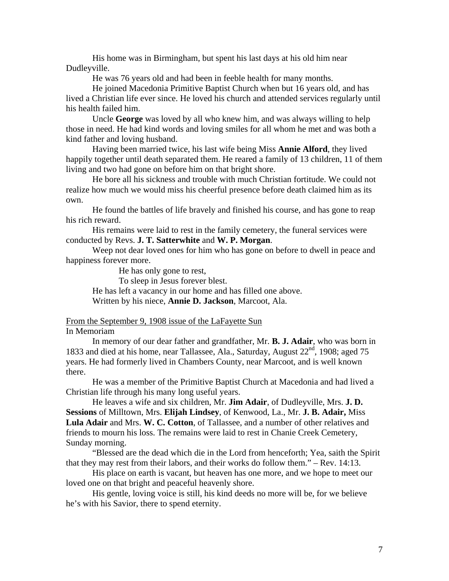His home was in Birmingham, but spent his last days at his old him near Dudleyville.

He was 76 years old and had been in feeble health for many months.

 He joined Macedonia Primitive Baptist Church when but 16 years old, and has lived a Christian life ever since. He loved his church and attended services regularly until his health failed him.

 Uncle **George** was loved by all who knew him, and was always willing to help those in need. He had kind words and loving smiles for all whom he met and was both a kind father and loving husband.

 Having been married twice, his last wife being Miss **Annie Alford**, they lived happily together until death separated them. He reared a family of 13 children, 11 of them living and two had gone on before him on that bright shore.

 He bore all his sickness and trouble with much Christian fortitude. We could not realize how much we would miss his cheerful presence before death claimed him as its own.

 He found the battles of life bravely and finished his course, and has gone to reap his rich reward.

 His remains were laid to rest in the family cemetery, the funeral services were conducted by Revs. **J. T. Satterwhite** and **W. P. Morgan**.

 Weep not dear loved ones for him who has gone on before to dwell in peace and happiness forever more.

He has only gone to rest,

To sleep in Jesus forever blest.

 He has left a vacancy in our home and has filled one above. Written by his niece, **Annie D. Jackson**, Marcoot, Ala.

## From the September 9, 1908 issue of the LaFayette Sun

## In Memoriam

 In memory of our dear father and grandfather, Mr. **B. J. Adair**, who was born in 1833 and died at his home, near Tallassee, Ala., Saturday, August  $22<sup>nd</sup>$ , 1908; aged 75 years. He had formerly lived in Chambers County, near Marcoot, and is well known there.

 He was a member of the Primitive Baptist Church at Macedonia and had lived a Christian life through his many long useful years.

 He leaves a wife and six children, Mr. **Jim Adair**, of Dudleyville, Mrs. **J. D. Sessions** of Milltown, Mrs. **Elijah Lindsey**, of Kenwood, La., Mr. **J. B. Adair,** Miss **Lula Adair** and Mrs. **W. C. Cotton**, of Tallassee, and a number of other relatives and friends to mourn his loss. The remains were laid to rest in Chanie Creek Cemetery, Sunday morning.

 "Blessed are the dead which die in the Lord from henceforth; Yea, saith the Spirit that they may rest from their labors, and their works do follow them." – Rev. 14:13.

 His place on earth is vacant, but heaven has one more, and we hope to meet our loved one on that bright and peaceful heavenly shore.

 His gentle, loving voice is still, his kind deeds no more will be, for we believe he's with his Savior, there to spend eternity.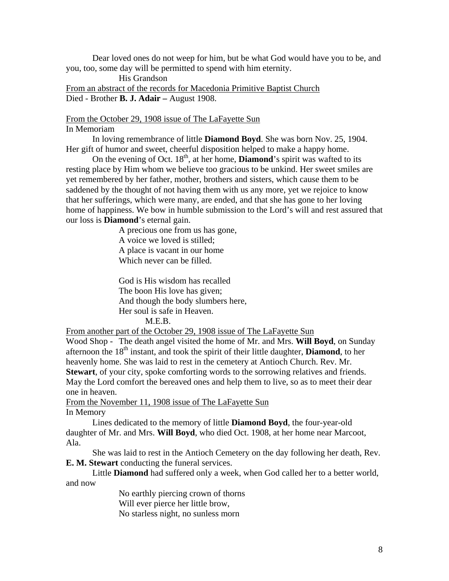Dear loved ones do not weep for him, but be what God would have you to be, and you, too, some day will be permitted to spend with him eternity.

 His Grandson From an abstract of the records for Macedonia Primitive Baptist Church Died - Brother **B. J. Adair –** August 1908.

#### From the October 29, 1908 issue of The LaFayette Sun In Memoriam

 In loving remembrance of little **Diamond Boyd**. She was born Nov. 25, 1904. Her gift of humor and sweet, cheerful disposition helped to make a happy home.

On the evening of Oct.  $18<sup>th</sup>$ , at her home, **Diamond**'s spirit was wafted to its resting place by Him whom we believe too gracious to be unkind. Her sweet smiles are yet remembered by her father, mother, brothers and sisters, which cause them to be saddened by the thought of not having them with us any more, yet we rejoice to know that her sufferings, which were many, are ended, and that she has gone to her loving home of happiness. We bow in humble submission to the Lord's will and rest assured that our loss is **Diamond**'s eternal gain.

> A precious one from us has gone, A voice we loved is stilled; A place is vacant in our home Which never can be filled.

 God is His wisdom has recalled The boon His love has given; And though the body slumbers here, Her soul is safe in Heaven. M.E.B.

From another part of the October 29, 1908 issue of The LaFayette Sun

Wood Shop - The death angel visited the home of Mr. and Mrs. **Will Boyd**, on Sunday afternoon the 18<sup>th</sup> instant, and took the spirit of their little daughter, **Diamond**, to her heavenly home. She was laid to rest in the cemetery at Antioch Church. Rev. Mr. **Stewart**, of your city, spoke comforting words to the sorrowing relatives and friends. May the Lord comfort the bereaved ones and help them to live, so as to meet their dear one in heaven.

From the November 11, 1908 issue of The LaFayette Sun In Memory

 Lines dedicated to the memory of little **Diamond Boyd**, the four-year-old daughter of Mr. and Mrs. **Will Boyd**, who died Oct. 1908, at her home near Marcoot, Ala.

 She was laid to rest in the Antioch Cemetery on the day following her death, Rev. **E. M. Stewart** conducting the funeral services.

 Little **Diamond** had suffered only a week, when God called her to a better world, and now

> No earthly piercing crown of thorns Will ever pierce her little brow, No starless night, no sunless morn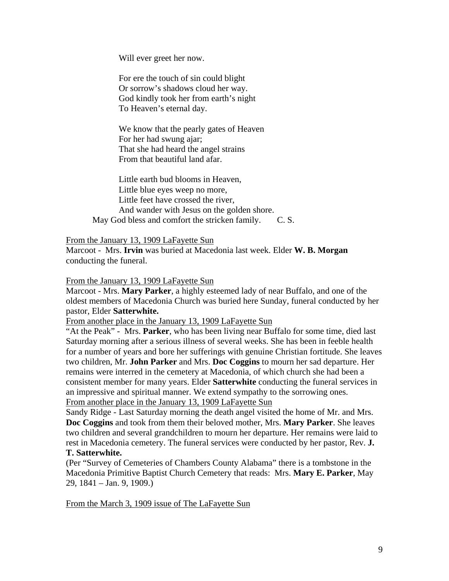Will ever greet her now.

 For ere the touch of sin could blight Or sorrow's shadows cloud her way. God kindly took her from earth's night To Heaven's eternal day.

 We know that the pearly gates of Heaven For her had swung ajar; That she had heard the angel strains From that beautiful land afar.

 Little earth bud blooms in Heaven, Little blue eyes weep no more, Little feet have crossed the river, And wander with Jesus on the golden shore. May God bless and comfort the stricken family. C. S.

From the January 13, 1909 LaFayette Sun

Marcoot - Mrs. **Irvin** was buried at Macedonia last week. Elder **W. B. Morgan**  conducting the funeral.

From the January 13, 1909 LaFayette Sun

Marcoot - Mrs. **Mary Parker**, a highly esteemed lady of near Buffalo, and one of the oldest members of Macedonia Church was buried here Sunday, funeral conducted by her pastor, Elder **Satterwhite.** 

From another place in the January 13, 1909 LaFayette Sun

"At the Peak" - Mrs. **Parker**, who has been living near Buffalo for some time, died last Saturday morning after a serious illness of several weeks. She has been in feeble health for a number of years and bore her sufferings with genuine Christian fortitude. She leaves two children, Mr. **John Parker** and Mrs. **Doc Coggins** to mourn her sad departure. Her remains were interred in the cemetery at Macedonia, of which church she had been a consistent member for many years. Elder **Satterwhite** conducting the funeral services in an impressive and spiritual manner. We extend sympathy to the sorrowing ones. From another place in the January 13, 1909 LaFayette Sun

Sandy Ridge - Last Saturday morning the death angel visited the home of Mr. and Mrs. **Doc Coggins** and took from them their beloved mother, Mrs. **Mary Parker**. She leaves two children and several grandchildren to mourn her departure. Her remains were laid to rest in Macedonia cemetery. The funeral services were conducted by her pastor, Rev. **J. T. Satterwhite.** 

(Per "Survey of Cemeteries of Chambers County Alabama" there is a tombstone in the Macedonia Primitive Baptist Church Cemetery that reads: Mrs. **Mary E. Parker**, May 29, 1841 – Jan. 9, 1909.)

From the March 3, 1909 issue of The LaFayette Sun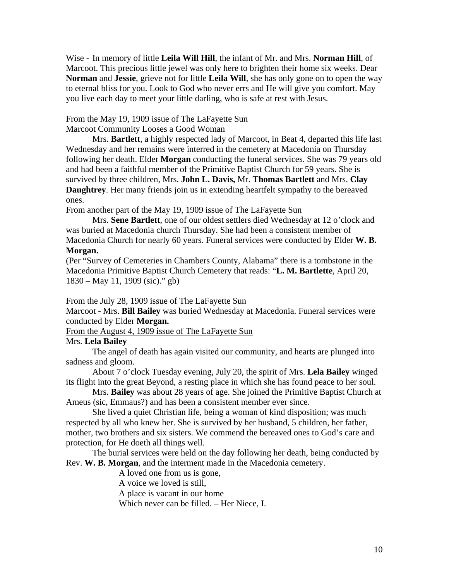Wise - In memory of little **Leila Will Hill**, the infant of Mr. and Mrs. **Norman Hill**, of Marcoot. This precious little jewel was only here to brighten their home six weeks. Dear **Norman** and **Jessie**, grieve not for little **Leila Will**, she has only gone on to open the way to eternal bliss for you. Look to God who never errs and He will give you comfort. May you live each day to meet your little darling, who is safe at rest with Jesus.

## From the May 19, 1909 issue of The LaFayette Sun

Marcoot Community Looses a Good Woman

 Mrs. **Bartlett**, a highly respected lady of Marcoot, in Beat 4, departed this life last Wednesday and her remains were interred in the cemetery at Macedonia on Thursday following her death. Elder **Morgan** conducting the funeral services. She was 79 years old and had been a faithful member of the Primitive Baptist Church for 59 years. She is survived by three children, Mrs. **John L. Davis,** Mr. **Thomas Bartlett** and Mrs. **Clay Daughtrey**. Her many friends join us in extending heartfelt sympathy to the bereaved ones.

From another part of the May 19, 1909 issue of The LaFayette Sun

 Mrs. **Sene Bartlett**, one of our oldest settlers died Wednesday at 12 o'clock and was buried at Macedonia church Thursday. She had been a consistent member of Macedonia Church for nearly 60 years. Funeral services were conducted by Elder **W. B. Morgan.**

(Per "Survey of Cemeteries in Chambers County, Alabama" there is a tombstone in the Macedonia Primitive Baptist Church Cemetery that reads: "**L. M. Bartlette**, April 20, 1830 – May 11, 1909 (sic)." gb)

From the July 28, 1909 issue of The LaFayette Sun

Marcoot - Mrs. **Bill Bailey** was buried Wednesday at Macedonia. Funeral services were conducted by Elder **Morgan.**

From the August 4, 1909 issue of The LaFayette Sun

## Mrs. **Lela Bailey**

 The angel of death has again visited our community, and hearts are plunged into sadness and gloom.

 About 7 o'clock Tuesday evening, July 20, the spirit of Mrs. **Lela Bailey** winged its flight into the great Beyond, a resting place in which she has found peace to her soul.

 Mrs. **Bailey** was about 28 years of age. She joined the Primitive Baptist Church at Ameus (sic, Emmaus?) and has been a consistent member ever since.

 She lived a quiet Christian life, being a woman of kind disposition; was much respected by all who knew her. She is survived by her husband, 5 children, her father, mother, two brothers and six sisters. We commend the bereaved ones to God's care and protection, for He doeth all things well.

 The burial services were held on the day following her death, being conducted by Rev. **W. B. Morgan**, and the interment made in the Macedonia cemetery.

A loved one from us is gone,

A voice we loved is still,

A place is vacant in our home

Which never can be filled. – Her Niece, I.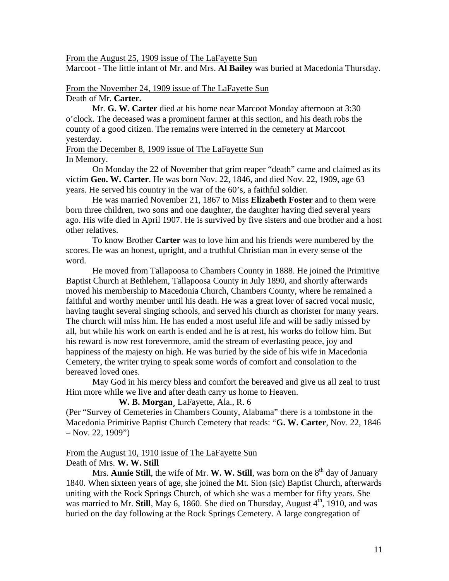#### From the August 25, 1909 issue of The LaFayette Sun

Marcoot - The little infant of Mr. and Mrs. **Al Bailey** was buried at Macedonia Thursday.

#### From the November 24, 1909 issue of The LaFayette Sun Death of Mr. **Carter.**

Mr. **G. W. Carter** died at his home near Marcoot Monday afternoon at 3:30 o'clock. The deceased was a prominent farmer at this section, and his death robs the county of a good citizen. The remains were interred in the cemetery at Marcoot yesterday.

#### From the December 8, 1909 issue of The LaFayette Sun In Memory.

 On Monday the 22 of November that grim reaper "death" came and claimed as its victim **Geo. W. Carter**. He was born Nov. 22, 1846, and died Nov. 22, 1909, age 63 years. He served his country in the war of the 60's, a faithful soldier.

 He was married November 21, 1867 to Miss **Elizabeth Foster** and to them were born three children, two sons and one daughter, the daughter having died several years ago. His wife died in April 1907. He is survived by five sisters and one brother and a host other relatives.

 To know Brother **Carter** was to love him and his friends were numbered by the scores. He was an honest, upright, and a truthful Christian man in every sense of the word.

 He moved from Tallapoosa to Chambers County in 1888. He joined the Primitive Baptist Church at Bethlehem, Tallapoosa County in July 1890, and shortly afterwards moved his membership to Macedonia Church, Chambers County, where he remained a faithful and worthy member until his death. He was a great lover of sacred vocal music, having taught several singing schools, and served his church as chorister for many years. The church will miss him. He has ended a most useful life and will be sadly missed by all, but while his work on earth is ended and he is at rest, his works do follow him. But his reward is now rest forevermore, amid the stream of everlasting peace, joy and happiness of the majesty on high. He was buried by the side of his wife in Macedonia Cemetery, the writer trying to speak some words of comfort and consolation to the bereaved loved ones.

 May God in his mercy bless and comfort the bereaved and give us all zeal to trust Him more while we live and after death carry us home to Heaven.

**W. B. Morgan**¸ LaFayette, Ala., R. 6

(Per "Survey of Cemeteries in Chambers County, Alabama" there is a tombstone in the Macedonia Primitive Baptist Church Cemetery that reads: "**G. W. Carter**, Nov. 22, 1846  $-$  Nov. 22, 1909")

#### From the August 10, 1910 issue of The LaFayette Sun Death of Mrs. **W. W. Still**

Mrs. **Annie Still**, the wife of Mr. **W. W. Still**, was born on the  $8<sup>th</sup>$  day of January 1840. When sixteen years of age, she joined the Mt. Sion (sic) Baptist Church, afterwards uniting with the Rock Springs Church, of which she was a member for fifty years. She was married to Mr. **Still**, May 6, 1860. She died on Thursday, August  $4<sup>th</sup>$ , 1910, and was buried on the day following at the Rock Springs Cemetery. A large congregation of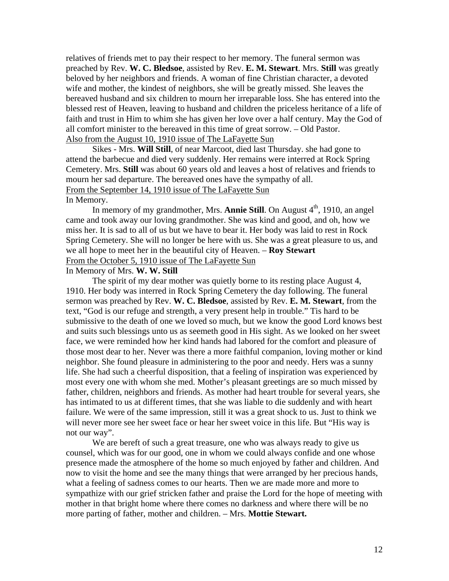relatives of friends met to pay their respect to her memory. The funeral sermon was preached by Rev. **W. C. Bledsoe**, assisted by Rev. **E. M. Stewart**. Mrs. **Still** was greatly beloved by her neighbors and friends. A woman of fine Christian character, a devoted wife and mother, the kindest of neighbors, she will be greatly missed. She leaves the bereaved husband and six children to mourn her irreparable loss. She has entered into the blessed rest of Heaven, leaving to husband and children the priceless heritance of a life of faith and trust in Him to whim she has given her love over a half century. May the God of all comfort minister to the bereaved in this time of great sorrow. – Old Pastor. Also from the August 10, 1910 issue of The LaFayette Sun

Sikes - Mrs. **Will Still**, of near Marcoot, died last Thursday. she had gone to attend the barbecue and died very suddenly. Her remains were interred at Rock Spring Cemetery. Mrs. **Still** was about 60 years old and leaves a host of relatives and friends to mourn her sad departure. The bereaved ones have the sympathy of all. From the September 14, 1910 issue of The LaFayette Sun In Memory.

In memory of my grandmother, Mrs. **Annie Still**. On August 4<sup>th</sup>, 1910, an angel came and took away our loving grandmother. She was kind and good, and oh, how we miss her. It is sad to all of us but we have to bear it. Her body was laid to rest in Rock Spring Cemetery. She will no longer be here with us. She was a great pleasure to us, and we all hope to meet her in the beautiful city of Heaven. – **Roy Stewart**  From the October 5, 1910 issue of The LaFayette Sun

In Memory of Mrs. **W. W. Still**

 The spirit of my dear mother was quietly borne to its resting place August 4, 1910. Her body was interred in Rock Spring Cemetery the day following. The funeral sermon was preached by Rev. **W. C. Bledsoe**, assisted by Rev. **E. M. Stewart**, from the text, "God is our refuge and strength, a very present help in trouble." Tis hard to be submissive to the death of one we loved so much, but we know the good Lord knows best and suits such blessings unto us as seemeth good in His sight. As we looked on her sweet face, we were reminded how her kind hands had labored for the comfort and pleasure of those most dear to her. Never was there a more faithful companion, loving mother or kind neighbor. She found pleasure in administering to the poor and needy. Hers was a sunny life. She had such a cheerful disposition, that a feeling of inspiration was experienced by most every one with whom she med. Mother's pleasant greetings are so much missed by father, children, neighbors and friends. As mother had heart trouble for several years, she has intimated to us at different times, that she was liable to die suddenly and with heart failure. We were of the same impression, still it was a great shock to us. Just to think we will never more see her sweet face or hear her sweet voice in this life. But "His way is not our way".

We are bereft of such a great treasure, one who was always ready to give us counsel, which was for our good, one in whom we could always confide and one whose presence made the atmosphere of the home so much enjoyed by father and children. And now to visit the home and see the many things that were arranged by her precious hands, what a feeling of sadness comes to our hearts. Then we are made more and more to sympathize with our grief stricken father and praise the Lord for the hope of meeting with mother in that bright home where there comes no darkness and where there will be no more parting of father, mother and children. – Mrs. **Mottie Stewart.**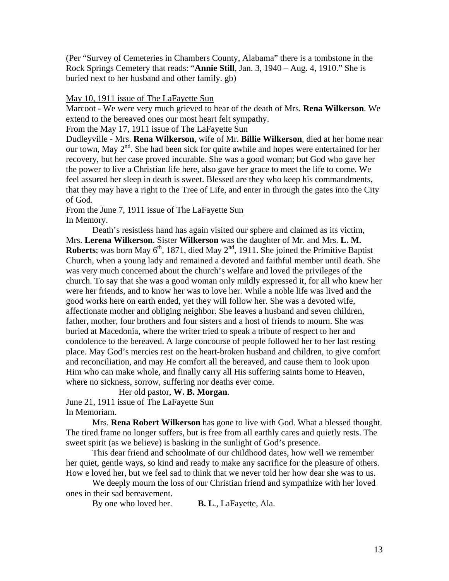(Per "Survey of Cemeteries in Chambers County, Alabama" there is a tombstone in the Rock Springs Cemetery that reads: "**Annie Still**, Jan. 3, 1940 – Aug. 4, 1910." She is buried next to her husband and other family. gb)

#### May 10, 1911 issue of The LaFayette Sun

Marcoot - We were very much grieved to hear of the death of Mrs. **Rena Wilkerson**. We extend to the bereaved ones our most heart felt sympathy.

From the May 17, 1911 issue of The LaFayette Sun

Dudleyville - Mrs. **Rena Wilkerson**, wife of Mr. **Billie Wilkerson**, died at her home near our town, May  $2<sup>nd</sup>$ . She had been sick for quite awhile and hopes were entertained for her recovery, but her case proved incurable. She was a good woman; but God who gave her the power to live a Christian life here, also gave her grace to meet the life to come. We feel assured her sleep in death is sweet. Blessed are they who keep his commandments, that they may have a right to the Tree of Life, and enter in through the gates into the City of God.

## From the June 7, 1911 issue of The LaFayette Sun In Memory.

 Death's resistless hand has again visited our sphere and claimed as its victim, Mrs. **Lerena Wilkerson**. Sister **Wilkerson** was the daughter of Mr. and Mrs. **L. M. Roberts**; was born May  $6<sup>th</sup>$ , 1871, died May  $2<sup>nd</sup>$ , 1911. She joined the Primitive Baptist Church, when a young lady and remained a devoted and faithful member until death. She was very much concerned about the church's welfare and loved the privileges of the church. To say that she was a good woman only mildly expressed it, for all who knew her were her friends, and to know her was to love her. While a noble life was lived and the good works here on earth ended, yet they will follow her. She was a devoted wife, affectionate mother and obliging neighbor. She leaves a husband and seven children, father, mother, four brothers and four sisters and a host of friends to mourn. She was buried at Macedonia, where the writer tried to speak a tribute of respect to her and condolence to the bereaved. A large concourse of people followed her to her last resting place. May God's mercies rest on the heart-broken husband and children, to give comfort and reconciliation, and may He comfort all the bereaved, and cause them to look upon Him who can make whole, and finally carry all His suffering saints home to Heaven, where no sickness, sorrow, suffering nor deaths ever come.

#### Her old pastor, **W. B. Morgan**.

June 21, 1911 issue of The LaFayette Sun In Memoriam.

 Mrs. **Rena Robert Wilkerson** has gone to live with God. What a blessed thought. The tired frame no longer suffers, but is free from all earthly cares and quietly rests. The sweet spirit (as we believe) is basking in the sunlight of God's presence.

 This dear friend and schoolmate of our childhood dates, how well we remember her quiet, gentle ways, so kind and ready to make any sacrifice for the pleasure of others. How e loved her, but we feel sad to think that we never told her how dear she was to us.

 We deeply mourn the loss of our Christian friend and sympathize with her loved ones in their sad bereavement.

By one who loved her. **B. L**., LaFayette, Ala.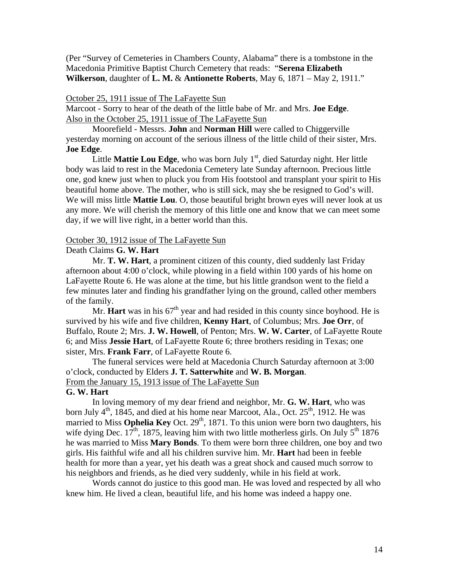(Per "Survey of Cemeteries in Chambers County, Alabama" there is a tombstone in the Macedonia Primitive Baptist Church Cemetery that reads: "**Serena Elizabeth Wilkerson**, daughter of **L. M.** & **Antionette Roberts**, May 6, 1871 – May 2, 1911."

#### October 25, 1911 issue of The LaFayette Sun

Marcoot - Sorry to hear of the death of the little babe of Mr. and Mrs. **Joe Edge**. Also in the October 25, 1911 issue of The LaFayette Sun

Moorefield - Messrs. **John** and **Norman Hill** were called to Chiggerville yesterday morning on account of the serious illness of the little child of their sister, Mrs. **Joe Edge**.

Little **Mattie Lou Edge**, who was born July 1<sup>st</sup>, died Saturday night. Her little body was laid to rest in the Macedonia Cemetery late Sunday afternoon. Precious little one, god knew just when to pluck you from His footstool and transplant your spirit to His beautiful home above. The mother, who is still sick, may she be resigned to God's will. We will miss little **Mattie Lou**. O, those beautiful bright brown eyes will never look at us any more. We will cherish the memory of this little one and know that we can meet some day, if we will live right, in a better world than this.

#### October 30, 1912 issue of The LaFayette Sun

## Death Claims **G. W. Hart**

 Mr. **T. W. Hart**, a prominent citizen of this county, died suddenly last Friday afternoon about 4:00 o'clock, while plowing in a field within 100 yards of his home on LaFayette Route 6. He was alone at the time, but his little grandson went to the field a few minutes later and finding his grandfather lying on the ground, called other members of the family.

Mr. **Hart** was in his  $67<sup>th</sup>$  year and had resided in this county since boyhood. He is survived by his wife and five children, **Kenny Hart**, of Columbus; Mrs. **Joe Orr**, of Buffalo, Route 2; Mrs. **J. W. Howell**, of Penton; Mrs. **W. W. Carter**, of LaFayette Route 6; and Miss **Jessie Hart**, of LaFayette Route 6; three brothers residing in Texas; one sister, Mrs. **Frank Farr**, of LaFayette Route 6.

 The funeral services were held at Macedonia Church Saturday afternoon at 3:00 o'clock, conducted by Elders **J. T. Satterwhite** and **W. B. Morgan**. From the January 15, 1913 issue of The LaFayette Sun

#### **G. W. Hart**

 In loving memory of my dear friend and neighbor, Mr. **G. W. Hart**, who was born July  $4<sup>th</sup>$ , 1845, and died at his home near Marcoot, Ala., Oct. 25<sup>th</sup>, 1912. He was married to Miss **Ophelia Key** Oct. 29<sup>th</sup>, 1871. To this union were born two daughters, his wife dying Dec.  $17<sup>th</sup>$ , 1875, leaving him with two little motherless girls. On July  $5<sup>th</sup>$  1876 he was married to Miss **Mary Bonds**. To them were born three children, one boy and two girls. His faithful wife and all his children survive him. Mr. **Hart** had been in feeble health for more than a year, yet his death was a great shock and caused much sorrow to his neighbors and friends, as he died very suddenly, while in his field at work.

 Words cannot do justice to this good man. He was loved and respected by all who knew him. He lived a clean, beautiful life, and his home was indeed a happy one.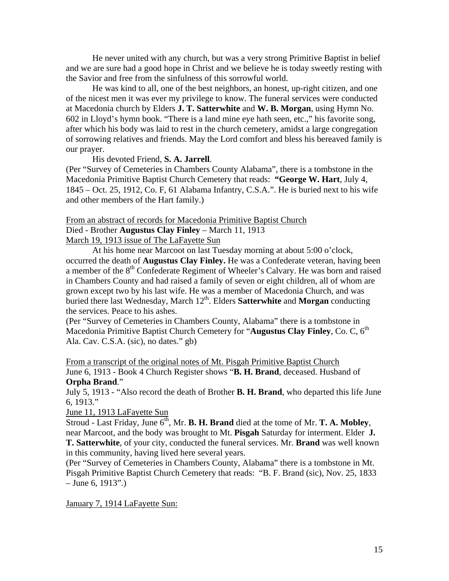He never united with any church, but was a very strong Primitive Baptist in belief and we are sure had a good hope in Christ and we believe he is today sweetly resting with the Savior and free from the sinfulness of this sorrowful world.

 He was kind to all, one of the best neighbors, an honest, up-right citizen, and one of the nicest men it was ever my privilege to know. The funeral services were conducted at Macedonia church by Elders **J. T. Satterwhite** and **W. B. Morgan**, using Hymn No. 602 in Lloyd's hymn book. "There is a land mine eye hath seen, etc.," his favorite song, after which his body was laid to rest in the church cemetery, amidst a large congregation of sorrowing relatives and friends. May the Lord comfort and bless his bereaved family is our prayer.

His devoted Friend, **S. A. Jarrell**.

(Per "Survey of Cemeteries in Chambers County Alabama", there is a tombstone in the Macedonia Primitive Baptist Church Cemetery that reads: **"George W. Hart**, July 4, 1845 – Oct. 25, 1912, Co. F, 61 Alabama Infantry, C.S.A.". He is buried next to his wife and other members of the Hart family.)

From an abstract of records for Macedonia Primitive Baptist Church Died - Brother **Augustus Clay Finley** – March 11, 1913

March 19, 1913 issue of The LaFayette Sun

 At his home near Marcoot on last Tuesday morning at about 5:00 o'clock, occurred the death of **Augustus Clay Finley.** He was a Confederate veteran, having been a member of the 8<sup>th</sup> Confederate Regiment of Wheeler's Calvary. He was born and raised in Chambers County and had raised a family of seven or eight children, all of whom are grown except two by his last wife. He was a member of Macedonia Church, and was buried there last Wednesday, March 12<sup>th</sup>. Elders **Satterwhite** and **Morgan** conducting the services. Peace to his ashes.

(Per "Survey of Cemeteries in Chambers County, Alabama" there is a tombstone in Macedonia Primitive Baptist Church Cemetery for "**Augustus Clay Finley**, Co. C, 6<sup>th</sup> Ala. Cav. C.S.A. (sic), no dates." gb)

From a transcript of the original notes of Mt. Pisgah Primitive Baptist Church June 6, 1913 - Book 4 Church Register shows "**B. H. Brand**, deceased. Husband of **Orpha Brand**."

July 5, 1913 - "Also record the death of Brother **B. H. Brand**, who departed this life June 6, 1913."

June 11, 1913 LaFayette Sun

Stroud - Last Friday, June  $6<sup>th</sup>$ , Mr. **B. H. Brand** died at the tome of Mr. **T. A. Mobley**, near Marcoot, and the body was brought to Mt. **Pisgah** Saturday for interment. Elder **J. T. Satterwhite**, of your city, conducted the funeral services. Mr. **Brand** was well known in this community, having lived here several years.

(Per "Survey of Cemeteries in Chambers County, Alabama" there is a tombstone in Mt. Pisgah Primitive Baptist Church Cemetery that reads: "B. F. Brand (sic), Nov. 25, 1833  $-$  June 6, 1913".)

January 7, 1914 LaFayette Sun: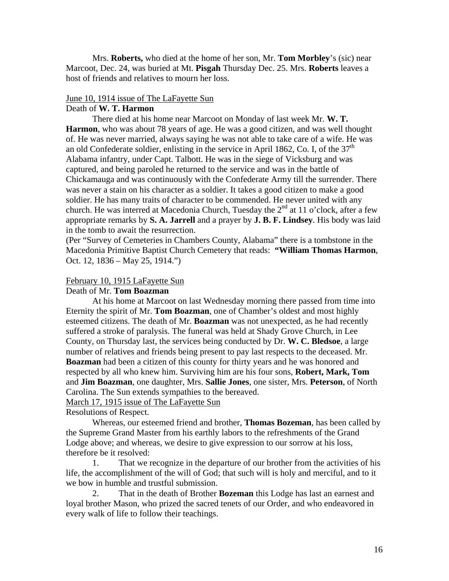Mrs. **Roberts,** who died at the home of her son, Mr. **Tom Morbley**'s (sic) near Marcoot, Dec. 24, was buried at Mt. **Pisgah** Thursday Dec. 25. Mrs. **Roberts** leaves a host of friends and relatives to mourn her loss.

#### June 10, 1914 issue of The LaFayette Sun

## Death of **W. T. Harmon**

 There died at his home near Marcoot on Monday of last week Mr. **W. T. Harmon**, who was about 78 years of age. He was a good citizen, and was well thought of. He was never married, always saying he was not able to take care of a wife. He was an old Confederate soldier, enlisting in the service in April 1862, Co. I, of the  $37<sup>th</sup>$ Alabama infantry, under Capt. Talbott. He was in the siege of Vicksburg and was captured, and being paroled he returned to the service and was in the battle of Chickamauga and was continuously with the Confederate Army till the surrender. There was never a stain on his character as a soldier. It takes a good citizen to make a good soldier. He has many traits of character to be commended. He never united with any church. He was interred at Macedonia Church, Tuesday the  $2<sup>nd</sup>$  at 11 o'clock, after a few appropriate remarks by **S. A. Jarrell** and a prayer by **J. B. F. Lindsey**. His body was laid in the tomb to await the resurrection.

(Per "Survey of Cemeteries in Chambers County, Alabama" there is a tombstone in the Macedonia Primitive Baptist Church Cemetery that reads: **"William Thomas Harmon**, Oct. 12, 1836 – May 25, 1914.")

## February 10, 1915 LaFayette Sun

## Death of Mr. **Tom Boazman**

 At his home at Marcoot on last Wednesday morning there passed from time into Eternity the spirit of Mr. **Tom Boazman**, one of Chamber's oldest and most highly esteemed citizens. The death of Mr. **Boazman** was not unexpected, as he had recently suffered a stroke of paralysis. The funeral was held at Shady Grove Church, in Lee County, on Thursday last, the services being conducted by Dr. **W. C. Bledsoe**, a large number of relatives and friends being present to pay last respects to the deceased. Mr. **Boazman** had been a citizen of this county for thirty years and he was honored and respected by all who knew him. Surviving him are his four sons, **Robert, Mark, Tom**  and **Jim Boazman**, one daughter, Mrs. **Sallie Jones**, one sister, Mrs. **Peterson**, of North Carolina. The Sun extends sympathies to the bereaved.

March 17, 1915 issue of The LaFayette Sun

Resolutions of Respect.

 Whereas, our esteemed friend and brother, **Thomas Bozeman**, has been called by the Supreme Grand Master from his earthly labors to the refreshments of the Grand Lodge above; and whereas, we desire to give expression to our sorrow at his loss, therefore be it resolved:

 1. That we recognize in the departure of our brother from the activities of his life, the accomplishment of the will of God; that such will is holy and merciful, and to it we bow in humble and trustful submission.

 2. That in the death of Brother **Bozeman** this Lodge has last an earnest and loyal brother Mason, who prized the sacred tenets of our Order, and who endeavored in every walk of life to follow their teachings.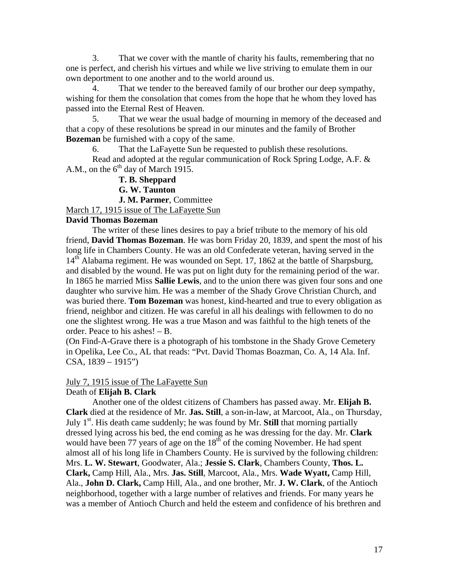3. That we cover with the mantle of charity his faults, remembering that no one is perfect, and cherish his virtues and while we live striving to emulate them in our own deportment to one another and to the world around us.

That we tender to the bereaved family of our brother our deep sympathy, wishing for them the consolation that comes from the hope that he whom they loved has passed into the Eternal Rest of Heaven.

 5. That we wear the usual badge of mourning in memory of the deceased and that a copy of these resolutions be spread in our minutes and the family of Brother **Bozeman** be furnished with a copy of the same.

6. That the LaFayette Sun be requested to publish these resolutions.

 Read and adopted at the regular communication of Rock Spring Lodge, A.F. & A.M., on the  $6<sup>th</sup>$  day of March 1915.

**T. B. Sheppard** 

 **G. W. Taunton** 

 **J. M. Parmer**, Committee

March 17, 1915 issue of The LaFayette Sun

## **David Thomas Bozeman**

 The writer of these lines desires to pay a brief tribute to the memory of his old friend, **David Thomas Bozeman**. He was born Friday 20, 1839, and spent the most of his long life in Chambers County. He was an old Confederate veteran, having served in the 14<sup>th</sup> Alabama regiment. He was wounded on Sept. 17, 1862 at the battle of Sharpsburg, and disabled by the wound. He was put on light duty for the remaining period of the war. In 1865 he married Miss **Sallie Lewis**, and to the union there was given four sons and one daughter who survive him. He was a member of the Shady Grove Christian Church, and was buried there. **Tom Bozeman** was honest, kind-hearted and true to every obligation as friend, neighbor and citizen. He was careful in all his dealings with fellowmen to do no one the slightest wrong. He was a true Mason and was faithful to the high tenets of the order. Peace to his ashes! – B.

(On Find-A-Grave there is a photograph of his tombstone in the Shady Grove Cemetery in Opelika, Lee Co., AL that reads: "Pvt. David Thomas Boazman, Co. A, 14 Ala. Inf.  $CSA$ ,  $1839 - 1915$ ")

## July 7, 1915 issue of The LaFayette Sun

## Death of **Elijah B. Clark**

 Another one of the oldest citizens of Chambers has passed away. Mr. **Elijah B. Clark** died at the residence of Mr. **Jas. Still**, a son-in-law, at Marcoot, Ala., on Thursday, July  $1<sup>st</sup>$ . His death came suddenly; he was found by Mr. **Still** that morning partially dressed lying across his bed, the end coming as he was dressing for the day. Mr. **Clark** would have been 77 years of age on the  $18<sup>th</sup>$  of the coming November. He had spent almost all of his long life in Chambers County. He is survived by the following children: Mrs. **L. W. Stewart**, Goodwater, Ala.; **Jessie S. Clark**, Chambers County, **Thos. L. Clark,** Camp Hill, Ala., Mrs. **Jas. Still**, Marcoot, Ala., Mrs. **Wade Wyatt,** Camp Hill, Ala., **John D. Clark,** Camp Hill, Ala., and one brother, Mr. **J. W. Clark**, of the Antioch neighborhood, together with a large number of relatives and friends. For many years he was a member of Antioch Church and held the esteem and confidence of his brethren and